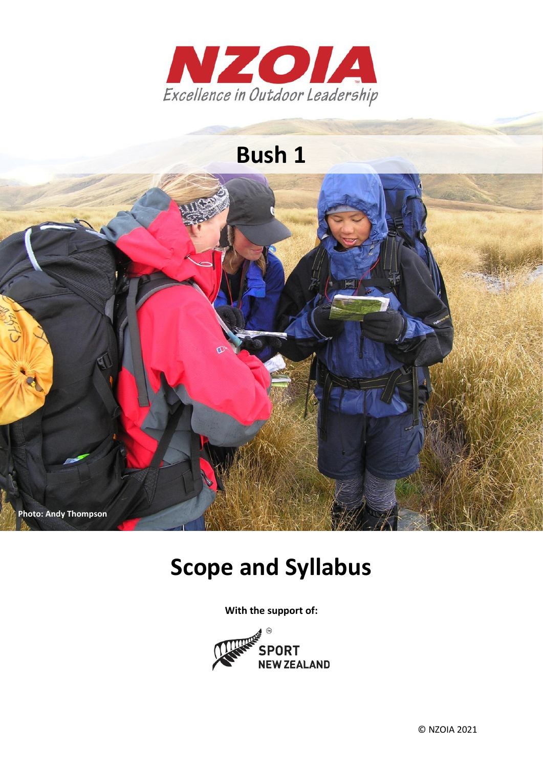

# **Bush 1**



# **Scope and Syllabus**

**With the support of:**

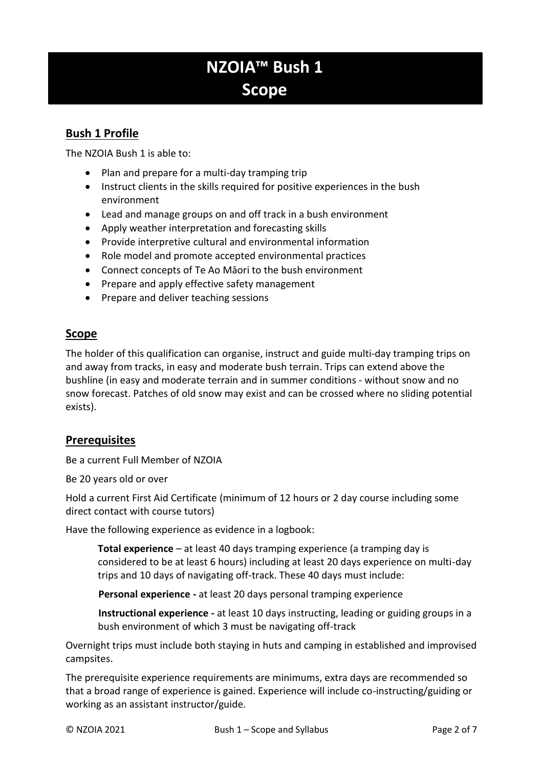# **NZOIA™ Bush 1 Scope**

# **Bush 1 Profile**

The NZOIA Bush 1 is able to:

- Plan and prepare for a multi-day tramping trip
- Instruct clients in the skills required for positive experiences in the bush environment
- Lead and manage groups on and off track in a bush environment
- Apply weather interpretation and forecasting skills
- Provide interpretive cultural and environmental information
- Role model and promote accepted environmental practices
- Connect concepts of Te Ao Māori to the bush environment
- Prepare and apply effective safety management
- Prepare and deliver teaching sessions

### **Scope**

The holder of this qualification can organise, instruct and guide multi-day tramping trips on and away from tracks, in easy and moderate bush terrain. Trips can extend above the bushline (in easy and moderate terrain and in summer conditions - without snow and no snow forecast. Patches of old snow may exist and can be crossed where no sliding potential exists).

#### **Prerequisites**

Be a current Full Member of NZOIA

Be 20 years old or over

Hold a current First Aid Certificate (minimum of 12 hours or 2 day course including some direct contact with course tutors)

Have the following experience as evidence in a logbook:

**Total experience** – at least 40 days tramping experience (a tramping day is considered to be at least 6 hours) including at least 20 days experience on multi-day trips and 10 days of navigating off-track. These 40 days must include:

**Personal experience -** at least 20 days personal tramping experience

**Instructional experience -** at least 10 days instructing, leading or guiding groups in a bush environment of which 3 must be navigating off-track

Overnight trips must include both staying in huts and camping in established and improvised campsites.

The prerequisite experience requirements are minimums, extra days are recommended so that a broad range of experience is gained. Experience will include co-instructing/guiding or working as an assistant instructor/guide.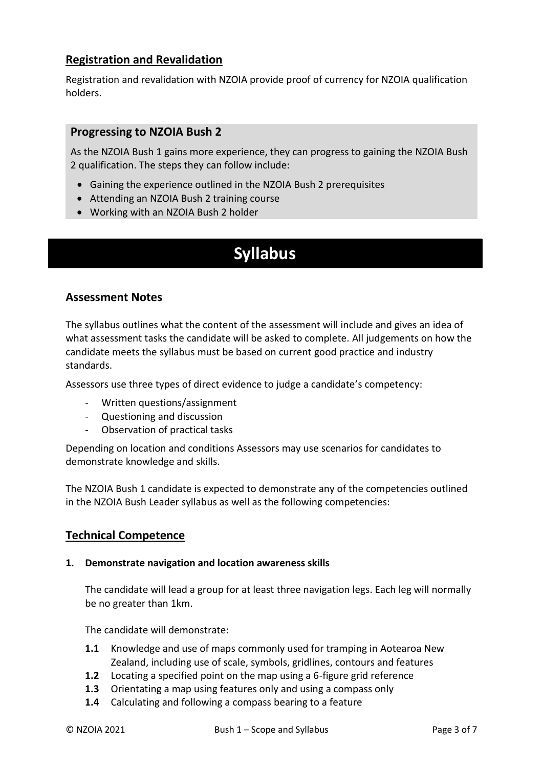## **Registration and Revalidation**

Registration and revalidation with NZOIA provide proof of currency for NZOIA qualification holders.

#### **Progressing to NZOIA Bush 2**

As the NZOIA Bush 1 gains more experience, they can progress to gaining the NZOIA Bush 2 qualification. The steps they can follow include:

- Gaining the experience outlined in the NZOIA Bush 2 prerequisites
- Attending an NZOIA Bush 2 training course
- Working with an NZOIA Bush 2 holder

# **Syllabus**

### **Assessment Notes**

The syllabus outlines what the content of the assessment will include and gives an idea of what assessment tasks the candidate will be asked to complete. All judgements on how the candidate meets the syllabus must be based on current good practice and industry standards.

Assessors use three types of direct evidence to judge a candidate's competency:

- Written questions/assignment
- Questioning and discussion
- Observation of practical tasks

Depending on location and conditions Assessors may use scenarios for candidates to demonstrate knowledge and skills.

The NZOIA Bush 1 candidate is expected to demonstrate any of the competencies outlined in the NZOIA Bush Leader syllabus as well as the following competencies:

#### **Technical Competence**

#### **1. Demonstrate navigation and location awareness skills**

The candidate will lead a group for at least three navigation legs. Each leg will normally be no greater than 1km.

The candidate will demonstrate:

- **1.1** Knowledge and use of maps commonly used for tramping in Aotearoa New Zealand, including use of scale, symbols, gridlines, contours and features
- **1.2** Locating a specified point on the map using a 6-figure grid reference
- **1.3** Orientating a map using features only and using a compass only
- **1.4** Calculating and following a compass bearing to a feature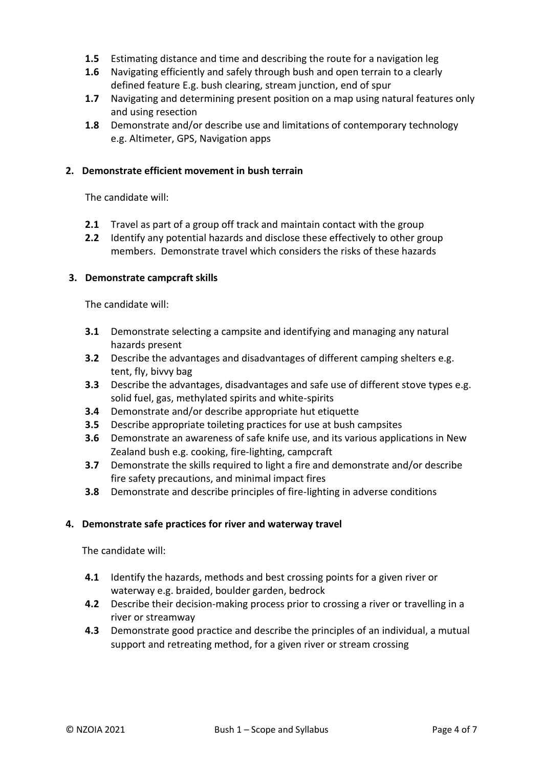- **1.5** Estimating distance and time and describing the route for a navigation leg
- **1.6** Navigating efficiently and safely through bush and open terrain to a clearly defined feature E.g. bush clearing, stream junction, end of spur
- **1.7** Navigating and determining present position on a map using natural features only and using resection
- **1.8** Demonstrate and/or describe use and limitations of contemporary technology e.g. Altimeter, GPS, Navigation apps

#### **2. Demonstrate efficient movement in bush terrain**

The candidate will:

- **2.1** Travel as part of a group off track and maintain contact with the group
- **2.2** Identify any potential hazards and disclose these effectively to other group members. Demonstrate travel which considers the risks of these hazards

#### **3. Demonstrate campcraft skills**

The candidate will:

- **3.1** Demonstrate selecting a campsite and identifying and managing any natural hazards present
- **3.2** Describe the advantages and disadvantages of different camping shelters e.g. tent, fly, bivvy bag
- **3.3** Describe the advantages, disadvantages and safe use of different stove types e.g. solid fuel, gas, methylated spirits and white-spirits
- **3.4** Demonstrate and/or describe appropriate hut etiquette
- **3.5** Describe appropriate toileting practices for use at bush campsites
- **3.6** Demonstrate an awareness of safe knife use, and its various applications in New Zealand bush e.g. cooking, fire-lighting, campcraft
- **3.7** Demonstrate the skills required to light a fire and demonstrate and/or describe fire safety precautions, and minimal impact fires
- **3.8** Demonstrate and describe principles of fire-lighting in adverse conditions

#### **4. Demonstrate safe practices for river and waterway travel**

The candidate will:

- **4.1** Identify the hazards, methods and best crossing points for a given river or waterway e.g. braided, boulder garden, bedrock
- **4.2** Describe their decision-making process prior to crossing a river or travelling in a river or streamway
- **4.3** Demonstrate good practice and describe the principles of an individual, a mutual support and retreating method, for a given river or stream crossing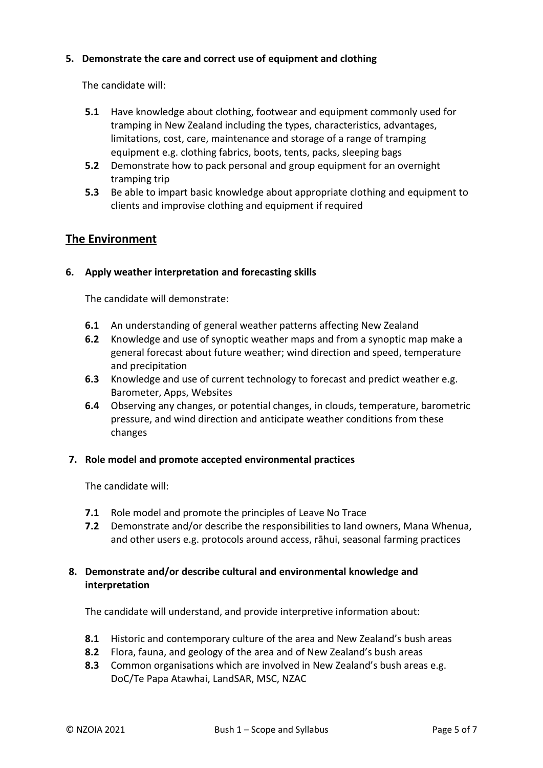#### **5. Demonstrate the care and correct use of equipment and clothing**

The candidate will:

- **5.1** Have knowledge about clothing, footwear and equipment commonly used for tramping in New Zealand including the types, characteristics, advantages, limitations, cost, care, maintenance and storage of a range of tramping equipment e.g. clothing fabrics, boots, tents, packs, sleeping bags
- **5.2** Demonstrate how to pack personal and group equipment for an overnight tramping trip
- **5.3** Be able to impart basic knowledge about appropriate clothing and equipment to clients and improvise clothing and equipment if required

## **The Environment**

#### **6. Apply weather interpretation and forecasting skills**

The candidate will demonstrate:

- **6.1** An understanding of general weather patterns affecting New Zealand
- **6.2** Knowledge and use of synoptic weather maps and from a synoptic map make a general forecast about future weather; wind direction and speed, temperature and precipitation
- **6.3** Knowledge and use of current technology to forecast and predict weather e.g. Barometer, Apps, Websites
- **6.4** Observing any changes, or potential changes, in clouds, temperature, barometric pressure, and wind direction and anticipate weather conditions from these changes

#### **7. Role model and promote accepted environmental practices**

The candidate will:

- **7.1** Role model and promote the principles of Leave No Trace
- **7.2** Demonstrate and/or describe the responsibilities to land owners, Mana Whenua, and other users e.g. protocols around access, rāhui, seasonal farming practices

#### **8. Demonstrate and/or describe cultural and environmental knowledge and interpretation**

The candidate will understand, and provide interpretive information about:

- **8.1** Historic and contemporary culture of the area and New Zealand's bush areas
- **8.2** Flora, fauna, and geology of the area and of New Zealand's bush areas
- **8.3** Common organisations which are involved in New Zealand's bush areas e.g. DoC/Te Papa Atawhai, LandSAR, MSC, NZAC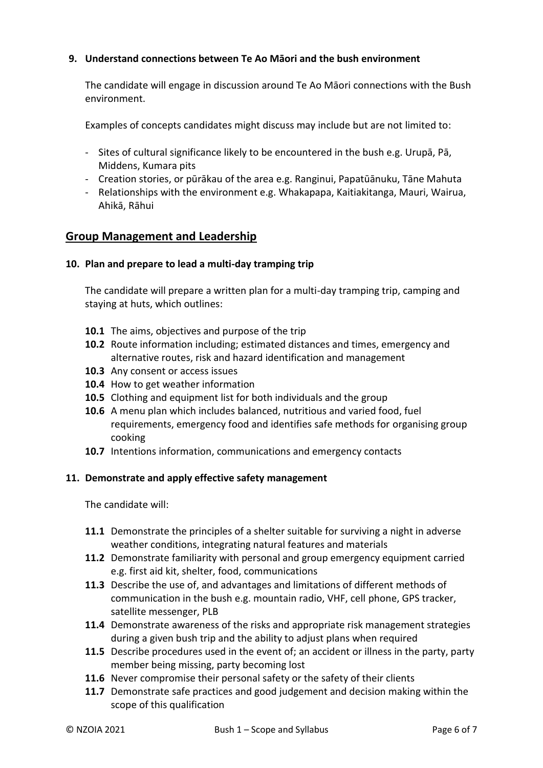#### **9. Understand connections between Te Ao Māori and the bush environment**

The candidate will engage in discussion around Te Ao Māori connections with the Bush environment.

Examples of concepts candidates might discuss may include but are not limited to:

- Sites of cultural significance likely to be encountered in the bush e.g. Urupā, Pā, Middens, Kumara pits
- Creation stories, or pūrākau of the area e.g. Ranginui, Papatūānuku, Tāne Mahuta
- Relationships with the environment e.g. Whakapapa, Kaitiakitanga, Mauri, Wairua, Ahikā, Rāhui

#### **Group Management and Leadership**

#### **10. Plan and prepare to lead a multi-day tramping trip**

The candidate will prepare a written plan for a multi-day tramping trip, camping and staying at huts, which outlines:

- **10.1** The aims, objectives and purpose of the trip
- **10.2** Route information including; estimated distances and times, emergency and alternative routes, risk and hazard identification and management
- **10.3** Any consent or access issues
- **10.4** How to get weather information
- **10.5** Clothing and equipment list for both individuals and the group
- **10.6** A menu plan which includes balanced, nutritious and varied food, fuel requirements, emergency food and identifies safe methods for organising group cooking
- **10.7** Intentions information, communications and emergency contacts

#### **11. Demonstrate and apply effective safety management**

The candidate will:

- **11.1** Demonstrate the principles of a shelter suitable for surviving a night in adverse weather conditions, integrating natural features and materials
- **11.2** Demonstrate familiarity with personal and group emergency equipment carried e.g. first aid kit, shelter, food, communications
- **11.3** Describe the use of, and advantages and limitations of different methods of communication in the bush e.g. mountain radio, VHF, cell phone, GPS tracker, satellite messenger, PLB
- **11.4** Demonstrate awareness of the risks and appropriate risk management strategies during a given bush trip and the ability to adjust plans when required
- **11.5** Describe procedures used in the event of; an accident or illness in the party, party member being missing, party becoming lost
- **11.6** Never compromise their personal safety or the safety of their clients
- **11.7** Demonstrate safe practices and good judgement and decision making within the scope of this qualification